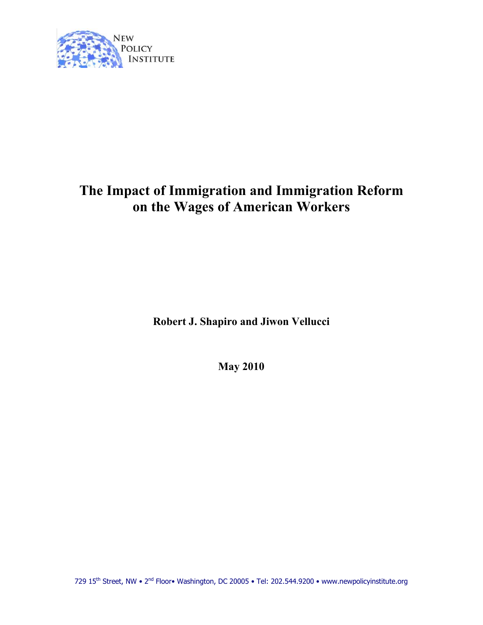

# **The Impact of Immigration and Immigration Reform on the Wages of American Workers**

**Robert J. Shapiro and Jiwon Vellucci** 

**May 2010**

729 15<sup>th</sup> Street, NW • 2<sup>nd</sup> Floor• Washington, DC 20005 • Tel: 202.544.9200 • www.newpolicyinstitute.org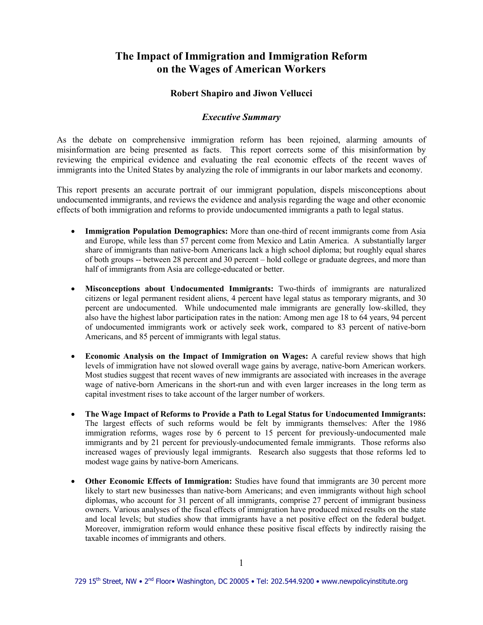# **The Impact of Immigration and Immigration Reform on the Wages of American Workers**

### **Robert Shapiro and Jiwon Vellucci**

#### *Executive Summary*

As the debate on comprehensive immigration reform has been rejoined, alarming amounts of misinformation are being presented as facts. This report corrects some of this misinformation by reviewing the empirical evidence and evaluating the real economic effects of the recent waves of immigrants into the United States by analyzing the role of immigrants in our labor markets and economy.

This report presents an accurate portrait of our immigrant population, dispels misconceptions about undocumented immigrants, and reviews the evidence and analysis regarding the wage and other economic effects of both immigration and reforms to provide undocumented immigrants a path to legal status.

- **Immigration Population Demographics:** More than one-third of recent immigrants come from Asia and Europe, while less than 57 percent come from Mexico and Latin America. A substantially larger share of immigrants than native-born Americans lack a high school diploma; but roughly equal shares of both groups -- between 28 percent and 30 percent – hold college or graduate degrees, and more than half of immigrants from Asia are college-educated or better.
- **Misconceptions about Undocumented Immigrants:** Two-thirds of immigrants are naturalized citizens or legal permanent resident aliens, 4 percent have legal status as temporary migrants, and 30 percent are undocumented. While undocumented male immigrants are generally low-skilled, they also have the highest labor participation rates in the nation: Among men age 18 to 64 years, 94 percent of undocumented immigrants work or actively seek work, compared to 83 percent of native-born Americans, and 85 percent of immigrants with legal status.
- **Economic Analysis on the Impact of Immigration on Wages:** A careful review shows that high levels of immigration have not slowed overall wage gains by average, native-born American workers. Most studies suggest that recent waves of new immigrants are associated with increases in the average wage of native-born Americans in the short-run and with even larger increases in the long term as capital investment rises to take account of the larger number of workers.
- **The Wage Impact of Reforms to Provide a Path to Legal Status for Undocumented Immigrants:** The largest effects of such reforms would be felt by immigrants themselves: After the 1986 immigration reforms, wages rose by 6 percent to 15 percent for previously-undocumented male immigrants and by 21 percent for previously-undocumented female immigrants. Those reforms also increased wages of previously legal immigrants. Research also suggests that those reforms led to modest wage gains by native-born Americans.
- **Other Economic Effects of Immigration:** Studies have found that immigrants are 30 percent more likely to start new businesses than native-born Americans; and even immigrants without high school diplomas, who account for 31 percent of all immigrants, comprise 27 percent of immigrant business owners. Various analyses of the fiscal effects of immigration have produced mixed results on the state and local levels; but studies show that immigrants have a net positive effect on the federal budget. Moreover, immigration reform would enhance these positive fiscal effects by indirectly raising the taxable incomes of immigrants and others.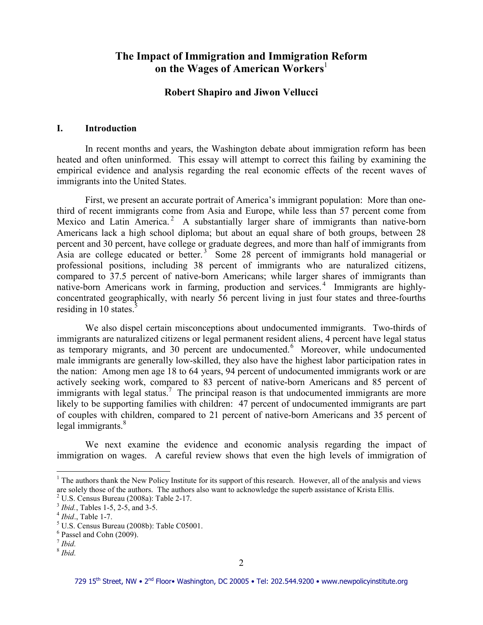# **The Impact of Immigration and Immigration Reform on the Wages of American Workers**

### **Robert Shapiro and Jiwon Vellucci**

#### **I. Introduction**

In recent months and years, the Washington debate about immigration reform has been heated and often uninformed. This essay will attempt to correct this failing by examining the empirical evidence and analysis regarding the real economic effects of the recent waves of immigrants into the United States.

First, we present an accurate portrait of America's immigrant population: More than onethird of recent immigrants come from Asia and Europe, while less than 57 percent come from Mexico and Latin America.<sup>2</sup> A substantially larger share of immigrants than native-born Americans lack a high school diploma; but about an equal share of both groups, between 28 percent and 30 percent, have college or graduate degrees, and more than half of immigrants from Asia are college educated or better.<sup>3</sup> Some 28 percent of immigrants hold managerial or professional positions, including 38 percent of immigrants who are naturalized citizens, compared to 37.5 percent of native-born Americans; while larger shares of immigrants than native-born Americans work in farming, production and services.<sup>4</sup> Immigrants are highlyconcentrated geographically, with nearly 56 percent living in just four states and three-fourths residing in 10 states. $5$ 

We also dispel certain misconceptions about undocumented immigrants. Two-thirds of immigrants are naturalized citizens or legal permanent resident aliens, 4 percent have legal status as temporary migrants, and 30 percent are undocumented.<sup>6</sup> Moreover, while undocumented male immigrants are generally low-skilled, they also have the highest labor participation rates in the nation: Among men age 18 to 64 years, 94 percent of undocumented immigrants work or are actively seeking work, compared to 83 percent of native-born Americans and 85 percent of immigrants with legal status.<sup>7</sup> The principal reason is that undocumented immigrants are more likely to be supporting families with children: 47 percent of undocumented immigrants are part of couples with children, compared to 21 percent of native-born Americans and 35 percent of legal immigrants.<sup>8</sup>

We next examine the evidence and economic analysis regarding the impact of immigration on wages. A careful review shows that even the high levels of immigration of

 $<sup>1</sup>$  The authors thank the New Policy Institute for its support of this research. However, all of the analysis and views</sup> are solely those of the authors. The authors also want to acknowledge the superb assistance of Krista Ellis.

 $2^2$  U.S. Census Bureau (2008a): Table 2-17.

<sup>&</sup>lt;sup>3</sup> *Ibid.*, Tables 1-5, 2-5, and 3-5.

<sup>4</sup> *Ibid*., Table 1-7.

 $<sup>5</sup>$  U.S. Census Bureau (2008b): Table C05001.</sup>

<sup>6</sup> Passel and Cohn (2009).

<sup>7</sup> *Ibid.*

<sup>8</sup> *Ibid.*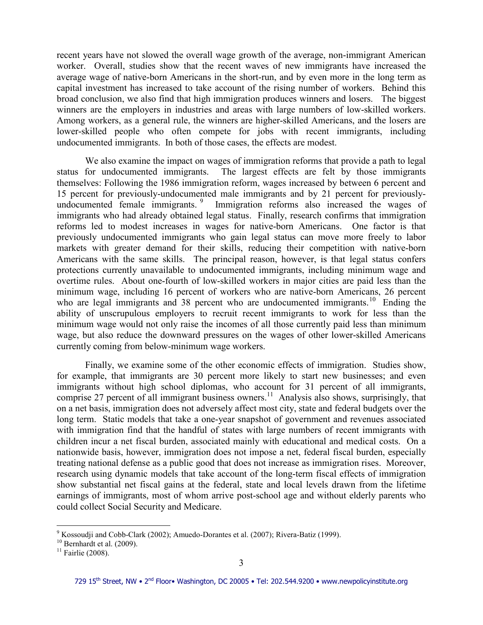recent years have not slowed the overall wage growth of the average, non-immigrant American worker. Overall, studies show that the recent waves of new immigrants have increased the average wage of native-born Americans in the short-run, and by even more in the long term as capital investment has increased to take account of the rising number of workers. Behind this broad conclusion, we also find that high immigration produces winners and losers. The biggest winners are the employers in industries and areas with large numbers of low-skilled workers. Among workers, as a general rule, the winners are higher-skilled Americans, and the losers are lower-skilled people who often compete for jobs with recent immigrants, including undocumented immigrants. In both of those cases, the effects are modest.

We also examine the impact on wages of immigration reforms that provide a path to legal status for undocumented immigrants. The largest effects are felt by those immigrants themselves: Following the 1986 immigration reform, wages increased by between 6 percent and 15 percent for previously-undocumented male immigrants and by 21 percent for previouslyundocumented female immigrants.<sup>9</sup> Immigration reforms also increased the wages of immigrants who had already obtained legal status. Finally, research confirms that immigration reforms led to modest increases in wages for native-born Americans. One factor is that previously undocumented immigrants who gain legal status can move more freely to labor markets with greater demand for their skills, reducing their competition with native-born Americans with the same skills. The principal reason, however, is that legal status confers protections currently unavailable to undocumented immigrants, including minimum wage and overtime rules. About one-fourth of low-skilled workers in major cities are paid less than the minimum wage, including 16 percent of workers who are native-born Americans, 26 percent who are legal immigrants and 38 percent who are undocumented immigrants.<sup>10</sup> Ending the ability of unscrupulous employers to recruit recent immigrants to work for less than the minimum wage would not only raise the incomes of all those currently paid less than minimum wage, but also reduce the downward pressures on the wages of other lower-skilled Americans currently coming from below-minimum wage workers.

Finally, we examine some of the other economic effects of immigration. Studies show, for example, that immigrants are 30 percent more likely to start new businesses; and even immigrants without high school diplomas, who account for 31 percent of all immigrants, comprise 27 percent of all immigrant business owners.<sup>11</sup> Analysis also shows, surprisingly, that on a net basis, immigration does not adversely affect most city, state and federal budgets over the long term. Static models that take a one-year snapshot of government and revenues associated with immigration find that the handful of states with large numbers of recent immigrants with children incur a net fiscal burden, associated mainly with educational and medical costs. On a nationwide basis, however, immigration does not impose a net, federal fiscal burden, especially treating national defense as a public good that does not increase as immigration rises. Moreover, research using dynamic models that take account of the long-term fiscal effects of immigration show substantial net fiscal gains at the federal, state and local levels drawn from the lifetime earnings of immigrants, most of whom arrive post-school age and without elderly parents who could collect Social Security and Medicare.

 9 Kossoudji and Cobb-Clark (2002); Amuedo-Dorantes et al. (2007); Rivera-Batiz (1999).

 $10$  Bernhardt et al. (2009).

 $11$  Fairlie (2008).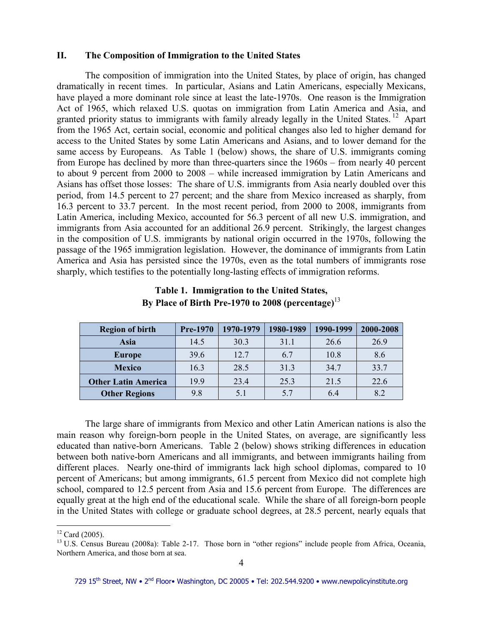#### **II. The Composition of Immigration to the United States**

The composition of immigration into the United States, by place of origin, has changed dramatically in recent times. In particular, Asians and Latin Americans, especially Mexicans, have played a more dominant role since at least the late-1970s. One reason is the Immigration Act of 1965, which relaxed U.S. quotas on immigration from Latin America and Asia, and granted priority status to immigrants with family already legally in the United States.<sup>12</sup> Apart from the 1965 Act, certain social, economic and political changes also led to higher demand for access to the United States by some Latin Americans and Asians, and to lower demand for the same access by Europeans. As Table 1 (below) shows, the share of U.S. immigrants coming from Europe has declined by more than three-quarters since the 1960s – from nearly 40 percent to about 9 percent from 2000 to 2008 – while increased immigration by Latin Americans and Asians has offset those losses: The share of U.S. immigrants from Asia nearly doubled over this period, from 14.5 percent to 27 percent; and the share from Mexico increased as sharply, from 16.3 percent to 33.7 percent. In the most recent period, from 2000 to 2008, immigrants from Latin America, including Mexico, accounted for 56.3 percent of all new U.S. immigration, and immigrants from Asia accounted for an additional 26.9 percent. Strikingly, the largest changes in the composition of U.S. immigrants by national origin occurred in the 1970s, following the passage of the 1965 immigration legislation. However, the dominance of immigrants from Latin America and Asia has persisted since the 1970s, even as the total numbers of immigrants rose sharply, which testifies to the potentially long-lasting effects of immigration reforms.

| <b>Region of birth</b>     | <b>Pre-1970</b> | 1970-1979 | 1980-1989 | 1990-1999 | 2000-2008 |
|----------------------------|-----------------|-----------|-----------|-----------|-----------|
| Asia                       | 14.5            | 30.3      | 31.1      | 26.6      | 26.9      |
| <b>Europe</b>              | 39.6            | 12.7      | 6.7       | 10.8      | 8.6       |
| <b>Mexico</b>              | 16.3            | 28.5      | 31.3      | 34.7      | 33.7      |
| <b>Other Latin America</b> | 19.9            | 23.4      | 25.3      | 21.5      | 22.6      |
| <b>Other Regions</b>       | 9.8             |           | 5.7       | 6.4       |           |

# **Table 1. Immigration to the United States, By Place of Birth Pre-1970 to 2008 (percentage)**<sup>13</sup>

 The large share of immigrants from Mexico and other Latin American nations is also the main reason why foreign-born people in the United States, on average, are significantly less educated than native-born Americans. Table 2 (below) shows striking differences in education between both native-born Americans and all immigrants, and between immigrants hailing from different places. Nearly one-third of immigrants lack high school diplomas, compared to 10 percent of Americans; but among immigrants, 61.5 percent from Mexico did not complete high school, compared to 12.5 percent from Asia and 15.6 percent from Europe. The differences are equally great at the high end of the educational scale. While the share of all foreign-born people in the United States with college or graduate school degrees, at 28.5 percent, nearly equals that

 $\overline{a}$  $12$  Card (2005).

<sup>&</sup>lt;sup>13</sup> U.S. Census Bureau (2008a): Table 2-17. Those born in "other regions" include people from Africa, Oceania, Northern America, and those born at sea.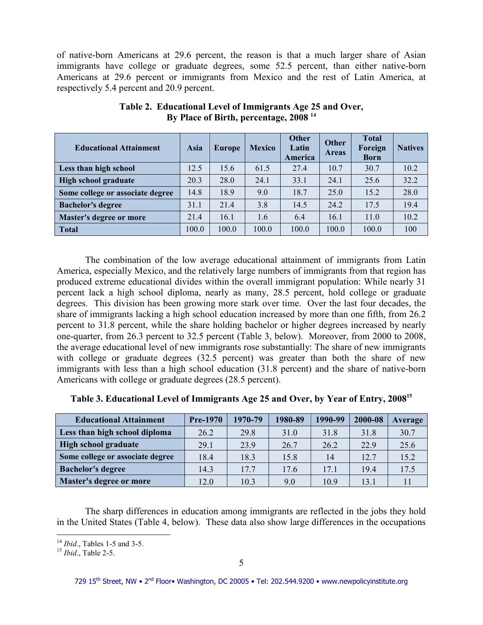of native-born Americans at 29.6 percent, the reason is that a much larger share of Asian immigrants have college or graduate degrees, some 52.5 percent, than either native-born Americans at 29.6 percent or immigrants from Mexico and the rest of Latin America, at respectively 5.4 percent and 20.9 percent.

| <b>Educational Attainment</b>    | Asia  | <b>Europe</b> | <b>Mexico</b> | <b>Other</b><br>Latin<br>America | <b>Other</b><br><b>Areas</b> | <b>Total</b><br>Foreign<br><b>Born</b> | <b>Natives</b> |
|----------------------------------|-------|---------------|---------------|----------------------------------|------------------------------|----------------------------------------|----------------|
| Less than high school            | 12.5  | 15.6          | 61.5          | 27.4                             | 10.7                         | 30.7                                   | 10.2           |
| High school graduate             | 20.3  | 28.0          | 24.1          | 33.1                             | 24.1                         | 25.6                                   | 32.2           |
| Some college or associate degree | 14.8  | 18.9          | 9.0           | 18.7                             | 25.0                         | 15.2                                   | 28.0           |
| <b>Bachelor's degree</b>         | 31.1  | 21.4          | 3.8           | 14.5                             | 24.2                         | 17.5                                   | 19.4           |
| Master's degree or more          | 21.4  | 16.1          | 1.6           | 6.4                              | 16.1                         | 11.0                                   | 10.2           |
| Total                            | 100.0 | 100.0         | 100.0         | 100.0                            | 100.0                        | 100.0                                  | 100            |

**Table 2. Educational Level of Immigrants Age 25 and Over, By Place of Birth, percentage, 2008 <sup>14</sup>**

 The combination of the low average educational attainment of immigrants from Latin America, especially Mexico, and the relatively large numbers of immigrants from that region has produced extreme educational divides within the overall immigrant population: While nearly 31 percent lack a high school diploma, nearly as many, 28.5 percent, hold college or graduate degrees. This division has been growing more stark over time. Over the last four decades, the share of immigrants lacking a high school education increased by more than one fifth, from 26.2 percent to 31.8 percent, while the share holding bachelor or higher degrees increased by nearly one-quarter, from 26.3 percent to 32.5 percent (Table 3, below). Moreover, from 2000 to 2008, the average educational level of new immigrants rose substantially: The share of new immigrants with college or graduate degrees (32.5 percent) was greater than both the share of new immigrants with less than a high school education (31.8 percent) and the share of native-born Americans with college or graduate degrees (28.5 percent).

| <b>Educational Attainment</b>    | <b>Pre-1970</b> | 1970-79 | 1980-89 | 1990-99 | 2000-08 | Average |
|----------------------------------|-----------------|---------|---------|---------|---------|---------|
| Less than high school diploma    | 26.2            | 29.8    | 31.0    | 31.8    | 31.8    | 30.7    |
| <b>High school graduate</b>      | 29.1            | 23.9    | 26.7    | 26.2    | 22.9    | 25.6    |
| Some college or associate degree | 18.4            | 18.3    | 15.8    | 14      | 12.7    | 15.2    |
| <b>Bachelor's degree</b>         | 14.3            | 17.7    | 17.6    | 17.1    | 194     | 17.5    |
| Master's degree or more          | 12.0            | 10.3    | 9.0     | 10.9    | 13.1    |         |

The sharp differences in education among immigrants are reflected in the jobs they hold in the United States (Table 4, below). These data also show large differences in the occupations

 $\overline{a}$ <sup>14</sup> *Ibid*., Tables 1-5 and 3-5.

<sup>15</sup> *Ibid*., Table 2-5.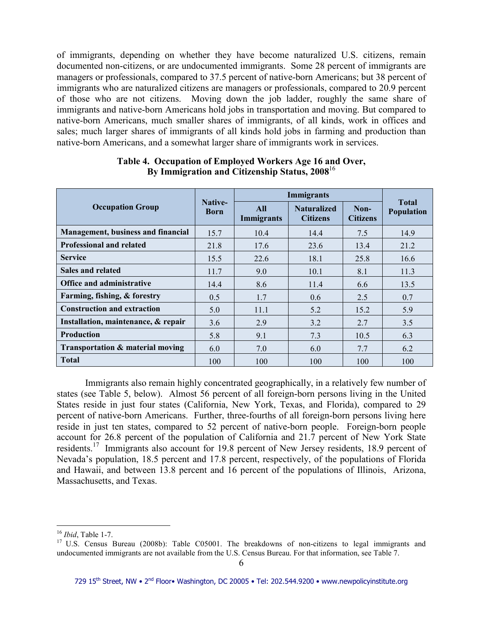of immigrants, depending on whether they have become naturalized U.S. citizens, remain documented non-citizens, or are undocumented immigrants. Some 28 percent of immigrants are managers or professionals, compared to 37.5 percent of native-born Americans; but 38 percent of immigrants who are naturalized citizens are managers or professionals, compared to 20.9 percent of those who are not citizens. Moving down the job ladder, roughly the same share of immigrants and native-born Americans hold jobs in transportation and moving. But compared to native-born Americans, much smaller shares of immigrants, of all kinds, work in offices and sales; much larger shares of immigrants of all kinds hold jobs in farming and production than native-born Americans, and a somewhat larger share of immigrants work in services.

|                                           | Native-<br><b>Born</b> | <b>Immigrants</b>               |                                       |                         |                            |
|-------------------------------------------|------------------------|---------------------------------|---------------------------------------|-------------------------|----------------------------|
| <b>Occupation Group</b>                   |                        | <b>All</b><br><b>Immigrants</b> | <b>Naturalized</b><br><b>Citizens</b> | Non-<br><b>Citizens</b> | <b>Total</b><br>Population |
| <b>Management, business and financial</b> | 15.7                   | 10.4                            | 14.4                                  | 7.5                     | 14.9                       |
| <b>Professional and related</b>           | 21.8                   | 17.6                            | 23.6                                  | 13.4                    | 21.2                       |
| <b>Service</b>                            | 15.5                   | 22.6                            | 18.1                                  | 25.8                    | 16.6                       |
| Sales and related                         | 11.7                   | 9.0                             | 10.1                                  | 8.1                     | 11.3                       |
| <b>Office and administrative</b>          | 14.4                   | 8.6                             | 11.4                                  | 6.6                     | 13.5                       |
| Farming, fishing, & forestry              | 0.5                    | 1.7                             | 0.6                                   | 2.5                     | 0.7                        |
| <b>Construction and extraction</b>        | 5.0                    | 11.1                            | 5.2                                   | 15.2                    | 5.9                        |
| Installation, maintenance, & repair       | 3.6                    | 2.9                             | 3.2                                   | 2.7                     | 3.5                        |
| <b>Production</b>                         | 5.8                    | 9.1                             | 7.3                                   | 10.5                    | 6.3                        |
| Transportation & material moving          | 6.0                    | 7.0                             | 6.0                                   | 7.7                     | 6.2                        |
| <b>Total</b>                              | 100                    | 100                             | 100                                   | 100                     | 100                        |

### **Table 4. Occupation of Employed Workers Age 16 and Over, By Immigration and Citizenship Status, 2008**<sup>16</sup>

 Immigrants also remain highly concentrated geographically, in a relatively few number of states (see Table 5, below). Almost 56 percent of all foreign-born persons living in the United States reside in just four states (California, New York, Texas, and Florida), compared to 29 percent of native-born Americans. Further, three-fourths of all foreign-born persons living here reside in just ten states, compared to 52 percent of native-born people. Foreign-born people account for 26.8 percent of the population of California and 21.7 percent of New York State residents.<sup>17</sup> Immigrants also account for 19.8 percent of New Jersey residents, 18.9 percent of Nevada's population, 18.5 percent and 17.8 percent, respectively, of the populations of Florida and Hawaii, and between 13.8 percent and 16 percent of the populations of Illinois, Arizona, Massachusetts, and Texas.

 $\overline{a}$ <sup>16</sup> *Ibid*, Table 1-7.

<sup>&</sup>lt;sup>17</sup> U.S. Census Bureau (2008b): Table C05001. The breakdowns of non-citizens to legal immigrants and undocumented immigrants are not available from the U.S. Census Bureau. For that information, see Table 7.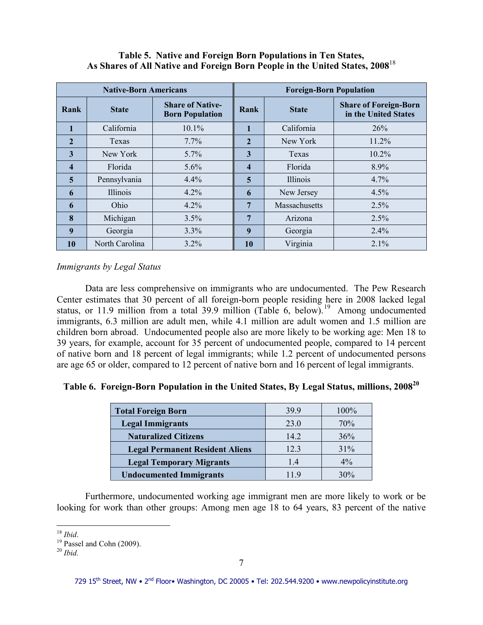# **Table 5. Native and Foreign Born Populations in Ten States, As Shares of All Native and Foreign Born People in the United States, 2008**<sup>18</sup>

| <b>Native-Born Americans</b> |                |                                                   | <b>Foreign-Born Population</b> |                      |                                                      |  |
|------------------------------|----------------|---------------------------------------------------|--------------------------------|----------------------|------------------------------------------------------|--|
| Rank                         | <b>State</b>   | <b>Share of Native-</b><br><b>Born Population</b> | Rank                           | <b>State</b>         | <b>Share of Foreign-Born</b><br>in the United States |  |
| 1                            | California     | 10.1%                                             |                                | California           | 26%                                                  |  |
| $\overline{2}$               | Texas          | $7.7\%$                                           | $\overline{2}$                 | New York             | 11.2%                                                |  |
| 3                            | New York       | 5.7%                                              | 3                              | Texas                | 10.2%                                                |  |
| $\overline{\mathbf{4}}$      | Florida        | $5.6\%$                                           | $\overline{\mathbf{4}}$        | Florida              | 8.9%                                                 |  |
| $\overline{\mathbf{5}}$      | Pennsylvania   | 4.4%                                              | 5                              | Illinois             | 4.7%                                                 |  |
| 6                            | Illinois       | $4.2\%$                                           | 6                              | New Jersey           | 4.5%                                                 |  |
| 6                            | Ohio           | $4.2\%$                                           | 7                              | <b>Massachusetts</b> | 2.5%                                                 |  |
| 8                            | Michigan       | 3.5%                                              | 7                              | Arizona              | 2.5%                                                 |  |
| 9                            | Georgia        | 3.3%                                              | $\boldsymbol{9}$               | Georgia              | 2.4%                                                 |  |
| 10                           | North Carolina | $3.2\%$                                           | 10                             | Virginia             | $2.1\%$                                              |  |

*Immigrants by Legal Status* 

 Data are less comprehensive on immigrants who are undocumented. The Pew Research Center estimates that 30 percent of all foreign-born people residing here in 2008 lacked legal status, or 11.9 million from a total 39.9 million (Table 6, below).<sup>19</sup> Among undocumented immigrants, 6.3 million are adult men, while 4.1 million are adult women and 1.5 million are children born abroad. Undocumented people also are more likely to be working age: Men 18 to 39 years, for example, account for 35 percent of undocumented people, compared to 14 percent of native born and 18 percent of legal immigrants; while 1.2 percent of undocumented persons are age 65 or older, compared to 12 percent of native born and 16 percent of legal immigrants.

# **Table 6. Foreign-Born Population in the United States, By Legal Status, millions, 2008<sup>20</sup>**

| <b>Total Foreign Born</b>              | 39.9 | 100%  |
|----------------------------------------|------|-------|
| <b>Legal Immigrants</b>                | 23.0 | 70%   |
| <b>Naturalized Citizens</b>            | 14.2 | 36%   |
| <b>Legal Permanent Resident Aliens</b> | 12.3 | 31%   |
| <b>Legal Temporary Migrants</b>        | 1.4  | $4\%$ |
| <b>Undocumented Immigrants</b>         |      | 30%   |

Furthermore, undocumented working age immigrant men are more likely to work or be looking for work than other groups: Among men age 18 to 64 years, 83 percent of the native

 $\overline{a}$ <sup>18</sup> *Ibid*.

 $19$  Passel and Cohn (2009).

<sup>20</sup> *Ibid.*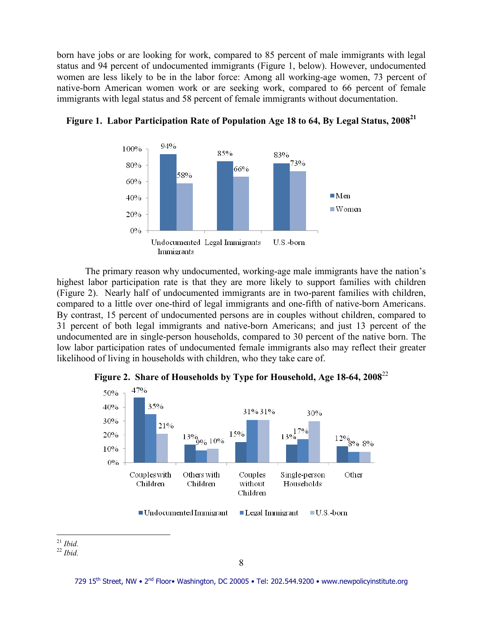born have jobs or are looking for work, compared to 85 percent of male immigrants with legal status and 94 percent of undocumented immigrants (Figure 1, below). However, undocumented women are less likely to be in the labor force: Among all working-age women, 73 percent of native-born American women work or are seeking work, compared to 66 percent of female immigrants with legal status and 58 percent of female immigrants without documentation.



# **Figure 1. Labor Participation Rate of Population Age 18 to 64, By Legal Status, 2008<sup>21</sup>**

 The primary reason why undocumented, working-age male immigrants have the nation's highest labor participation rate is that they are more likely to support families with children (Figure 2). Nearly half of undocumented immigrants are in two-parent families with children, compared to a little over one-third of legal immigrants and one-fifth of native-born Americans. By contrast, 15 percent of undocumented persons are in couples without children, compared to 31 percent of both legal immigrants and native-born Americans; and just 13 percent of the undocumented are in single-person households, compared to 30 percent of the native born. The low labor participation rates of undocumented female immigrants also may reflect their greater likelihood of living in households with children, who they take care of.



**Figure 2. Share of Households by Type for Household, Age 18-64, 2008**<sup>22</sup>

 $\overline{a}$ <sup>21</sup> *Ibid.*

<sup>22</sup> *Ibid.*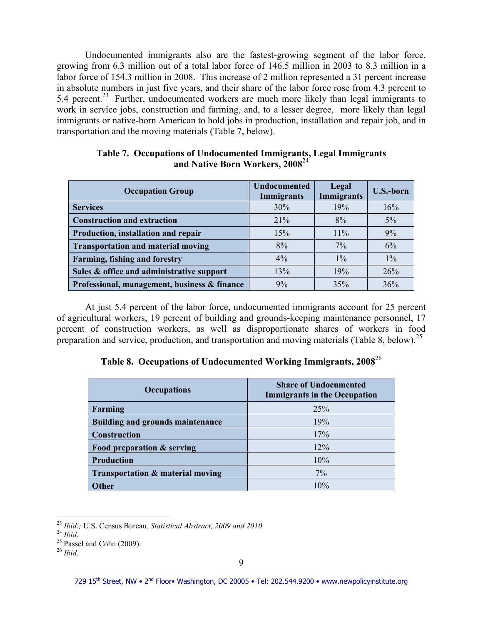Undocumented immigrants also are the fastest-growing segment of the labor force, growing from 6.3 million out of a total labor force of 146.5 million in 2003 to 8.3 million in a labor force of 154.3 million in 2008. This increase of 2 million represented a 31 percent increase in absolute numbers in just five years, and their share of the labor force rose from 4.3 percent to 5.4 percent.<sup>23</sup> Further, undocumented workers are much more likely than legal immigrants to work in service jobs, construction and farming, and, to a lesser degree, more likely than legal immigrants or native-born American to hold jobs in production, installation and repair job, and in transportation and the moving materials (Table 7, below).

| <b>Occupation Group</b>                      | <b>Undocumented</b><br>Immigrants | Legal<br><b>Immigrants</b> | <b>U.S.-born</b> |
|----------------------------------------------|-----------------------------------|----------------------------|------------------|
| <b>Services</b>                              | 30%                               | 19%                        | 16%              |
| <b>Construction and extraction</b>           | 21%                               | 8%                         | $5\%$            |
| Production, installation and repair          | 15%                               | 11%                        | 9%               |
| <b>Transportation and material moving</b>    | 8%                                | $7\%$                      | 6%               |
| <b>Farming, fishing and forestry</b>         | $4\%$                             | $1\%$                      | $1\%$            |
| Sales & office and administrative support    | 13%                               | 19%                        | 26%              |
| Professional, management, business & finance | 9%                                | 35%                        | 36%              |

**Table 7. Occupations of Undocumented Immigrants, Legal Immigrants and Native Born Workers, 2008**<sup>24</sup>

At just 5.4 percent of the labor force, undocumented immigrants account for 25 percent of agricultural workers, 19 percent of building and grounds-keeping maintenance personnel, 17 percent of construction workers, as well as disproportionate shares of workers in food preparation and service, production, and transportation and moving materials (Table 8, below).<sup>25</sup>

**Table 8. Occupations of Undocumented Working Immigrants, 2008**<sup>26</sup>

| <b>Occupations</b>                      | <b>Share of Undocumented</b><br><b>Immigrants in the Occupation</b> |
|-----------------------------------------|---------------------------------------------------------------------|
| Farming                                 | 25%                                                                 |
| <b>Building and grounds maintenance</b> | 19%                                                                 |
| <b>Construction</b>                     | 17%                                                                 |
| Food preparation & serving              | 12%                                                                 |
| <b>Production</b>                       | 10%                                                                 |
| Transportation & material moving        | $7\%$                                                               |
| Other                                   | 10%                                                                 |

 $\overline{a}$ <sup>23</sup> *Ibid.;* U.S. Census Bureau*, Statistical Abstract, 2009 and 2010.* 

<sup>24</sup> *Ibid*.

 $25$  Passel and Cohn (2009).

<sup>26</sup> *Ibid.*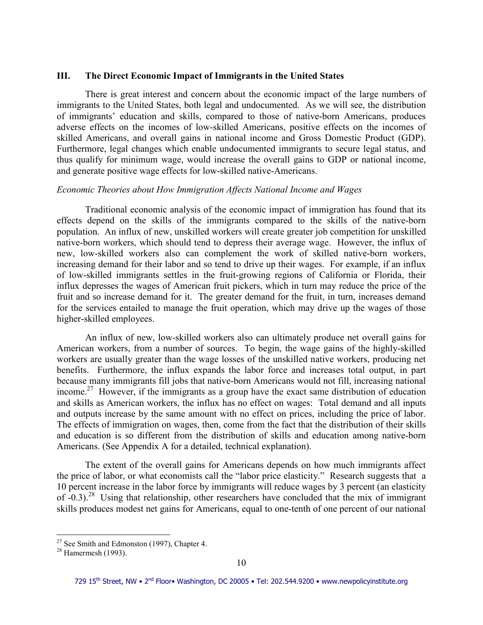#### **III. The Direct Economic Impact of Immigrants in the United States**

 There is great interest and concern about the economic impact of the large numbers of immigrants to the United States, both legal and undocumented. As we will see, the distribution of immigrants' education and skills, compared to those of native-born Americans, produces adverse effects on the incomes of low-skilled Americans, positive effects on the incomes of skilled Americans, and overall gains in national income and Gross Domestic Product (GDP). Furthermore, legal changes which enable undocumented immigrants to secure legal status, and thus qualify for minimum wage, would increase the overall gains to GDP or national income, and generate positive wage effects for low-skilled native-Americans.

#### *Economic Theories about How Immigration Affects National Income and Wages*

 Traditional economic analysis of the economic impact of immigration has found that its effects depend on the skills of the immigrants compared to the skills of the native-born population. An influx of new, unskilled workers will create greater job competition for unskilled native-born workers, which should tend to depress their average wage. However, the influx of new, low-skilled workers also can complement the work of skilled native-born workers, increasing demand for their labor and so tend to drive up their wages. For example, if an influx of low-skilled immigrants settles in the fruit-growing regions of California or Florida, their influx depresses the wages of American fruit pickers, which in turn may reduce the price of the fruit and so increase demand for it. The greater demand for the fruit, in turn, increases demand for the services entailed to manage the fruit operation, which may drive up the wages of those higher-skilled employees.

 An influx of new, low-skilled workers also can ultimately produce net overall gains for American workers, from a number of sources. To begin, the wage gains of the highly-skilled workers are usually greater than the wage losses of the unskilled native workers, producing net benefits. Furthermore, the influx expands the labor force and increases total output, in part because many immigrants fill jobs that native-born Americans would not fill, increasing national income.<sup>27</sup> However, if the immigrants as a group have the exact same distribution of education and skills as American workers, the influx has no effect on wages: Total demand and all inputs and outputs increase by the same amount with no effect on prices, including the price of labor. The effects of immigration on wages, then, come from the fact that the distribution of their skills and education is so different from the distribution of skills and education among native-born Americans. (See Appendix A for a detailed, technical explanation).

 The extent of the overall gains for Americans depends on how much immigrants affect the price of labor, or what economists call the "labor price elasticity." Research suggests that a 10 percent increase in the labor force by immigrants will reduce wages by 3 percent (an elasticity of  $-0.3$ ).<sup>28</sup> Using that relationship, other researchers have concluded that the mix of immigrant skills produces modest net gains for Americans, equal to one-tenth of one percent of our national

 $2^7$  See Smith and Edmonston (1997), Chapter 4.

 $28$  Hamermesh (1993).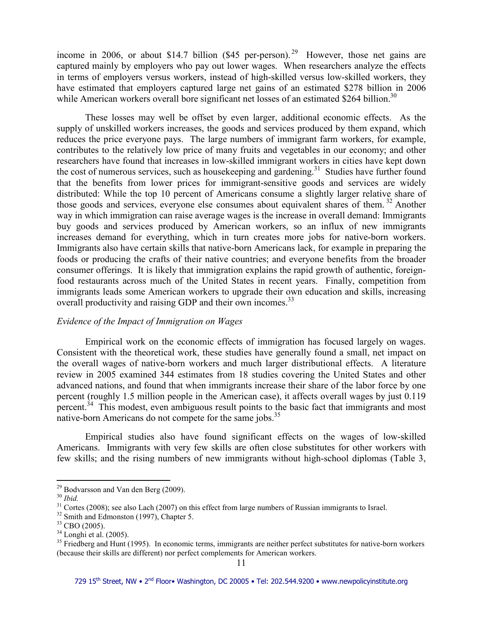income in 2006, or about \$14.7 billion (\$45 per-person).<sup>29</sup> However, those net gains are captured mainly by employers who pay out lower wages. When researchers analyze the effects in terms of employers versus workers, instead of high-skilled versus low-skilled workers, they have estimated that employers captured large net gains of an estimated \$278 billion in 2006 while American workers overall bore significant net losses of an estimated \$264 billion.<sup>30</sup>

 These losses may well be offset by even larger, additional economic effects. As the supply of unskilled workers increases, the goods and services produced by them expand, which reduces the price everyone pays. The large numbers of immigrant farm workers, for example, contributes to the relatively low price of many fruits and vegetables in our economy; and other researchers have found that increases in low-skilled immigrant workers in cities have kept down the cost of numerous services, such as housekeeping and gardening.<sup>31</sup> Studies have further found that the benefits from lower prices for immigrant-sensitive goods and services are widely distributed: While the top 10 percent of Americans consume a slightly larger relative share of those goods and services, everyone else consumes about equivalent shares of them.<sup>32</sup> Another way in which immigration can raise average wages is the increase in overall demand: Immigrants buy goods and services produced by American workers, so an influx of new immigrants increases demand for everything, which in turn creates more jobs for native-born workers. Immigrants also have certain skills that native-born Americans lack, for example in preparing the foods or producing the crafts of their native countries; and everyone benefits from the broader consumer offerings. It is likely that immigration explains the rapid growth of authentic, foreignfood restaurants across much of the United States in recent years. Finally, competition from immigrants leads some American workers to upgrade their own education and skills, increasing overall productivity and raising GDP and their own incomes.<sup>33</sup>

#### *Evidence of the Impact of Immigration on Wages*

Empirical work on the economic effects of immigration has focused largely on wages. Consistent with the theoretical work, these studies have generally found a small, net impact on the overall wages of native-born workers and much larger distributional effects. A literature review in 2005 examined 344 estimates from 18 studies covering the United States and other advanced nations, and found that when immigrants increase their share of the labor force by one percent (roughly 1.5 million people in the American case), it affects overall wages by just 0.119 percent.<sup>34</sup> This modest, even ambiguous result points to the basic fact that immigrants and most native-born Americans do not compete for the same jobs.<sup>35</sup>

Empirical studies also have found significant effects on the wages of low-skilled Americans. Immigrants with very few skills are often close substitutes for other workers with few skills; and the rising numbers of new immigrants without high-school diplomas (Table 3,

 $\overline{a}$ <sup>29</sup> Bodvarsson and Van den Berg (2009).

<sup>30</sup> *Ibid.*

 $31$  Cortes (2008); see also Lach (2007) on this effect from large numbers of Russian immigrants to Israel.

<sup>&</sup>lt;sup>32</sup> Smith and Edmonston (1997), Chapter 5.

 $33$  CBO (2005).

 $34$  Longhi et al. (2005).

 $35$  Friedberg and Hunt (1995). In economic terms, immigrants are neither perfect substitutes for native-born workers (because their skills are different) nor perfect complements for American workers.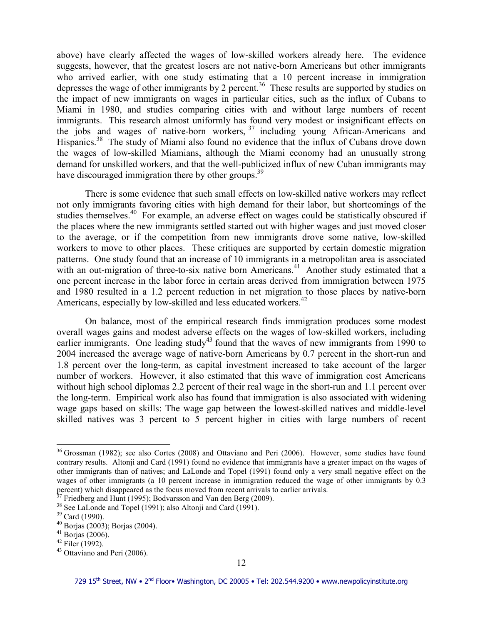above) have clearly affected the wages of low-skilled workers already here. The evidence suggests, however, that the greatest losers are not native-born Americans but other immigrants who arrived earlier, with one study estimating that a 10 percent increase in immigration depresses the wage of other immigrants by 2 percent.<sup>36</sup> These results are supported by studies on the impact of new immigrants on wages in particular cities, such as the influx of Cubans to Miami in 1980, and studies comparing cities with and without large numbers of recent immigrants. This research almost uniformly has found very modest or insignificant effects on the jobs and wages of native-born workers,  $37$  including young African-Americans and Hispanics.<sup>38</sup> The study of Miami also found no evidence that the influx of Cubans drove down the wages of low-skilled Miamians, although the Miami economy had an unusually strong demand for unskilled workers, and that the well-publicized influx of new Cuban immigrants may have discouraged immigration there by other groups.<sup>39</sup>

There is some evidence that such small effects on low-skilled native workers may reflect not only immigrants favoring cities with high demand for their labor, but shortcomings of the studies themselves.<sup>40</sup> For example, an adverse effect on wages could be statistically obscured if the places where the new immigrants settled started out with higher wages and just moved closer to the average, or if the competition from new immigrants drove some native, low-skilled workers to move to other places. These critiques are supported by certain domestic migration patterns. One study found that an increase of 10 immigrants in a metropolitan area is associated with an out-migration of three-to-six native born Americans.<sup>41</sup> Another study estimated that a one percent increase in the labor force in certain areas derived from immigration between 1975 and 1980 resulted in a 1.2 percent reduction in net migration to those places by native-born Americans, especially by low-skilled and less educated workers.<sup>42</sup>

On balance, most of the empirical research finds immigration produces some modest overall wages gains and modest adverse effects on the wages of low-skilled workers, including earlier immigrants. One leading study<sup>43</sup> found that the waves of new immigrants from 1990 to 2004 increased the average wage of native-born Americans by 0.7 percent in the short-run and 1.8 percent over the long-term, as capital investment increased to take account of the larger number of workers. However, it also estimated that this wave of immigration cost Americans without high school diplomas 2.2 percent of their real wage in the short-run and 1.1 percent over the long-term. Empirical work also has found that immigration is also associated with widening wage gaps based on skills: The wage gap between the lowest-skilled natives and middle-level skilled natives was 3 percent to 5 percent higher in cities with large numbers of recent

<sup>&</sup>lt;sup>36</sup> Grossman (1982); see also Cortes (2008) and Ottaviano and Peri (2006). However, some studies have found contrary results. Altonji and Card (1991) found no evidence that immigrants have a greater impact on the wages of other immigrants than of natives; and LaLonde and Topel (1991) found only a very small negative effect on the wages of other immigrants (a 10 percent increase in immigration reduced the wage of other immigrants by 0.3 percent) which disappeared as the focus moved from recent arrivals to earlier arrivals.

 $37$  Friedberg and Hunt (1995); Bodvarsson and Van den Berg (2009).

<sup>&</sup>lt;sup>38</sup> See LaLonde and Topel (1991); also Altonji and Card (1991).

<sup>39</sup> Card (1990).

<sup>40</sup> Borjas (2003); Borjas (2004).

 $41$  Borjas (2006).

 $42$  Filer (1992).

<sup>43</sup> Ottaviano and Peri (2006).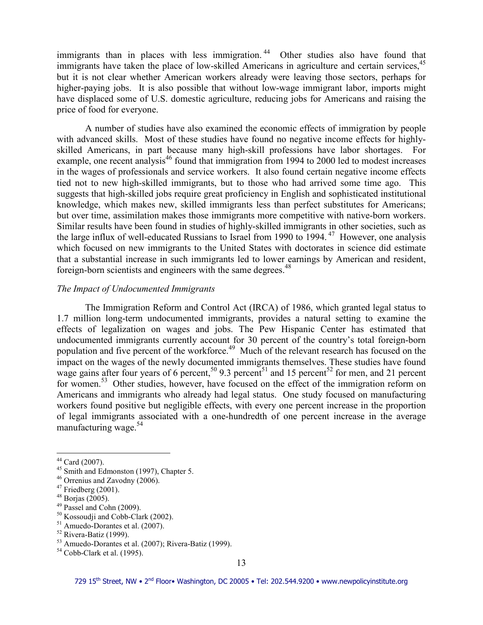immigrants than in places with less immigration.<sup>44</sup> Other studies also have found that immigrants have taken the place of low-skilled Americans in agriculture and certain services.<sup>45</sup> but it is not clear whether American workers already were leaving those sectors, perhaps for higher-paying jobs. It is also possible that without low-wage immigrant labor, imports might have displaced some of U.S. domestic agriculture, reducing jobs for Americans and raising the price of food for everyone.

 A number of studies have also examined the economic effects of immigration by people with advanced skills. Most of these studies have found no negative income effects for highlyskilled Americans, in part because many high-skill professions have labor shortages. For example, one recent analysis $46$  found that immigration from 1994 to 2000 led to modest increases in the wages of professionals and service workers. It also found certain negative income effects tied not to new high-skilled immigrants, but to those who had arrived some time ago. This suggests that high-skilled jobs require great proficiency in English and sophisticated institutional knowledge, which makes new, skilled immigrants less than perfect substitutes for Americans; but over time, assimilation makes those immigrants more competitive with native-born workers. Similar results have been found in studies of highly-skilled immigrants in other societies, such as the large influx of well-educated Russians to Israel from 1990 to  $1994.47$  However, one analysis which focused on new immigrants to the United States with doctorates in science did estimate that a substantial increase in such immigrants led to lower earnings by American and resident, foreign-born scientists and engineers with the same degrees.<sup>48</sup>

#### *The Impact of Undocumented Immigrants*

 The Immigration Reform and Control Act (IRCA) of 1986, which granted legal status to 1.7 million long-term undocumented immigrants, provides a natural setting to examine the effects of legalization on wages and jobs. The Pew Hispanic Center has estimated that undocumented immigrants currently account for 30 percent of the country's total foreign-born population and five percent of the workforce.<sup>49</sup> Much of the relevant research has focused on the impact on the wages of the newly documented immigrants themselves. These studies have found wage gains after four years of 6 percent,<sup>50</sup> 9.3 percent<sup>51</sup> and 15 percent<sup>52</sup> for men, and 21 percent for women.<sup>53</sup> Other studies, however, have focused on the effect of the immigration reform on Americans and immigrants who already had legal status. One study focused on manufacturing workers found positive but negligible effects, with every one percent increase in the proportion of legal immigrants associated with a one-hundredth of one percent increase in the average manufacturing wage. $54$ 

 $\overline{a}$  $44$  Card (2007).

<sup>&</sup>lt;sup>45</sup> Smith and Edmonston (1997), Chapter 5.

<sup>&</sup>lt;sup>46</sup> Orrenius and Zavodny (2006).

 $47$  Friedberg (2001).

 $48$  Borjas (2005).

<sup>49</sup> Passel and Cohn (2009).

<sup>&</sup>lt;sup>50</sup> Kossoudji and Cobb-Clark (2002).

<sup>51</sup> Amuedo-Dorantes et al. (2007).

 $52$  Rivera-Batiz (1999).

<sup>53</sup> Amuedo-Dorantes et al. (2007); Rivera-Batiz (1999).

 $54$  Cobb-Clark et al. (1995).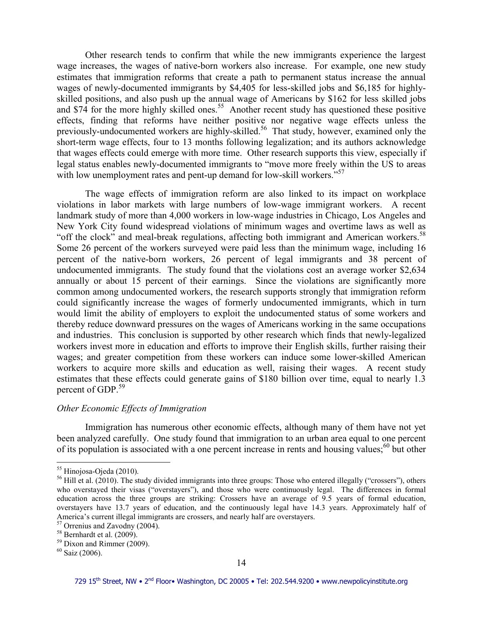Other research tends to confirm that while the new immigrants experience the largest wage increases, the wages of native-born workers also increase. For example, one new study estimates that immigration reforms that create a path to permanent status increase the annual wages of newly-documented immigrants by \$4,405 for less-skilled jobs and \$6,185 for highlyskilled positions, and also push up the annual wage of Americans by \$162 for less skilled jobs and  $\$74$  for the more highly skilled ones.<sup>55</sup> Another recent study has questioned these positive effects, finding that reforms have neither positive nor negative wage effects unless the previously-undocumented workers are highly-skilled.<sup>56</sup> That study, however, examined only the short-term wage effects, four to 13 months following legalization; and its authors acknowledge that wages effects could emerge with more time. Other research supports this view, especially if legal status enables newly-documented immigrants to "move more freely within the US to areas with low unemployment rates and pent-up demand for low-skill workers."<sup>57</sup>

 The wage effects of immigration reform are also linked to its impact on workplace violations in labor markets with large numbers of low-wage immigrant workers. A recent landmark study of more than 4,000 workers in low-wage industries in Chicago, Los Angeles and New York City found widespread violations of minimum wages and overtime laws as well as "off the clock" and meal-break regulations, affecting both immigrant and American workers.<sup>58</sup> Some 26 percent of the workers surveyed were paid less than the minimum wage, including 16 percent of the native-born workers, 26 percent of legal immigrants and 38 percent of undocumented immigrants. The study found that the violations cost an average worker \$2,634 annually or about 15 percent of their earnings. Since the violations are significantly more common among undocumented workers, the research supports strongly that immigration reform could significantly increase the wages of formerly undocumented immigrants, which in turn would limit the ability of employers to exploit the undocumented status of some workers and thereby reduce downward pressures on the wages of Americans working in the same occupations and industries. This conclusion is supported by other research which finds that newly-legalized workers invest more in education and efforts to improve their English skills, further raising their wages; and greater competition from these workers can induce some lower-skilled American workers to acquire more skills and education as well, raising their wages. A recent study estimates that these effects could generate gains of \$180 billion over time, equal to nearly 1.3 percent of GDP.<sup>59</sup>

### *Other Economic Effects of Immigration*

 Immigration has numerous other economic effects, although many of them have not yet been analyzed carefully. One study found that immigration to an urban area equal to one percent of its population is associated with a one percent increase in rents and housing values; $60$  but other

<sup>&</sup>lt;sup>55</sup> Hinojosa-Ojeda (2010).

 $<sup>56</sup>$  Hill et al. (2010). The study divided immigrants into three groups: Those who entered illegally ("crossers"), others</sup> who overstayed their visas ("overstayers"), and those who were continuously legal. The differences in formal education across the three groups are striking: Crossers have an average of 9.5 years of formal education, overstayers have 13.7 years of education, and the continuously legal have 14.3 years. Approximately half of America's current illegal immigrants are crossers, and nearly half are overstayers.

<sup>&</sup>lt;sup>57</sup> Orrenius and Zavodny (2004).

<sup>58</sup> Bernhardt et al. (2009).

<sup>59</sup> Dixon and Rimmer (2009).

 $60$  Saiz (2006).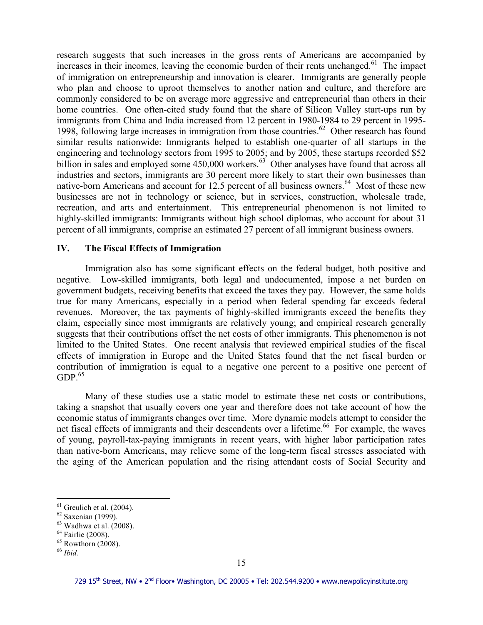research suggests that such increases in the gross rents of Americans are accompanied by increases in their incomes, leaving the economic burden of their rents unchanged.<sup>61</sup> The impact of immigration on entrepreneurship and innovation is clearer. Immigrants are generally people who plan and choose to uproot themselves to another nation and culture, and therefore are commonly considered to be on average more aggressive and entrepreneurial than others in their home countries. One often-cited study found that the share of Silicon Valley start-ups run by immigrants from China and India increased from 12 percent in 1980-1984 to 29 percent in 1995- 1998, following large increases in immigration from those countries.<sup>62</sup> Other research has found similar results nationwide: Immigrants helped to establish one-quarter of all startups in the engineering and technology sectors from 1995 to 2005; and by 2005, these startups recorded \$52 billion in sales and employed some  $450,000$  workers.<sup>63</sup> Other analyses have found that across all industries and sectors, immigrants are 30 percent more likely to start their own businesses than native-born Americans and account for 12.5 percent of all business owners.<sup>64</sup> Most of these new businesses are not in technology or science, but in services, construction, wholesale trade, recreation, and arts and entertainment. This entrepreneurial phenomenon is not limited to highly-skilled immigrants: Immigrants without high school diplomas, who account for about 31 percent of all immigrants, comprise an estimated 27 percent of all immigrant business owners.

# **IV. The Fiscal Effects of Immigration**

 Immigration also has some significant effects on the federal budget, both positive and negative. Low-skilled immigrants, both legal and undocumented, impose a net burden on government budgets, receiving benefits that exceed the taxes they pay. However, the same holds true for many Americans, especially in a period when federal spending far exceeds federal revenues. Moreover, the tax payments of highly-skilled immigrants exceed the benefits they claim, especially since most immigrants are relatively young; and empirical research generally suggests that their contributions offset the net costs of other immigrants. This phenomenon is not limited to the United States. One recent analysis that reviewed empirical studies of the fiscal effects of immigration in Europe and the United States found that the net fiscal burden or contribution of immigration is equal to a negative one percent to a positive one percent of  $GDP<sup>65</sup>$ 

 Many of these studies use a static model to estimate these net costs or contributions, taking a snapshot that usually covers one year and therefore does not take account of how the economic status of immigrants changes over time. More dynamic models attempt to consider the net fiscal effects of immigrants and their descendents over a lifetime.<sup>66</sup> For example, the waves of young, payroll-tax-paying immigrants in recent years, with higher labor participation rates than native-born Americans, may relieve some of the long-term fiscal stresses associated with the aging of the American population and the rising attendant costs of Social Security and

 $61$  Greulich et al. (2004).

 $62$  Saxenian (1999).

 $63$  Wadhwa et al. (2008).

<sup>&</sup>lt;sup>64</sup> Fairlie (2008).

 $65$  Rowthorn (2008).

<sup>66</sup> *Ibid.*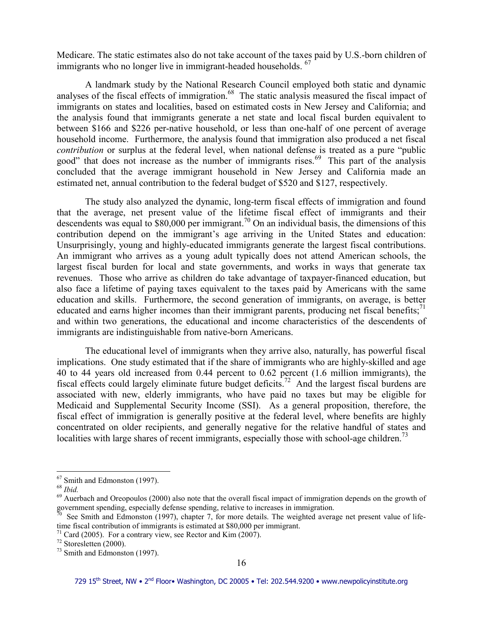Medicare. The static estimates also do not take account of the taxes paid by U.S.-born children of immigrants who no longer live in immigrant-headed households. <sup>67</sup>

 A landmark study by the National Research Council employed both static and dynamic analyses of the fiscal effects of immigration.<sup>68</sup> The static analysis measured the fiscal impact of immigrants on states and localities, based on estimated costs in New Jersey and California; and the analysis found that immigrants generate a net state and local fiscal burden equivalent to between \$166 and \$226 per-native household, or less than one-half of one percent of average household income. Furthermore, the analysis found that immigration also produced a net fiscal *contribution* or surplus at the federal level, when national defense is treated as a pure "public good" that does not increase as the number of immigrants rises.<sup>69</sup> This part of the analysis concluded that the average immigrant household in New Jersey and California made an estimated net, annual contribution to the federal budget of \$520 and \$127, respectively.

 The study also analyzed the dynamic, long-term fiscal effects of immigration and found that the average, net present value of the lifetime fiscal effect of immigrants and their descendents was equal to  $$80,000$  per immigrant.<sup>70</sup> On an individual basis, the dimensions of this contribution depend on the immigrant's age arriving in the United States and education: Unsurprisingly, young and highly-educated immigrants generate the largest fiscal contributions. An immigrant who arrives as a young adult typically does not attend American schools, the largest fiscal burden for local and state governments, and works in ways that generate tax revenues. Those who arrive as children do take advantage of taxpayer-financed education, but also face a lifetime of paying taxes equivalent to the taxes paid by Americans with the same education and skills. Furthermore, the second generation of immigrants, on average, is better educated and earns higher incomes than their immigrant parents, producing net fiscal benefits;<sup>71</sup> and within two generations, the educational and income characteristics of the descendents of immigrants are indistinguishable from native-born Americans.

 The educational level of immigrants when they arrive also, naturally, has powerful fiscal implications. One study estimated that if the share of immigrants who are highly-skilled and age 40 to 44 years old increased from 0.44 percent to 0.62 percent (1.6 million immigrants), the fiscal effects could largely eliminate future budget deficits.<sup>72</sup> And the largest fiscal burdens are associated with new, elderly immigrants, who have paid no taxes but may be eligible for Medicaid and Supplemental Security Income (SSI). As a general proposition, therefore, the fiscal effect of immigration is generally positive at the federal level, where benefits are highly concentrated on older recipients, and generally negative for the relative handful of states and localities with large shares of recent immigrants, especially those with school-age children.<sup>73</sup>

 $67$  Smith and Edmonston (1997).

<sup>68</sup> *Ibid.*

 $69$  Auerbach and Oreopoulos (2000) also note that the overall fiscal impact of immigration depends on the growth of government spending, especially defense spending, relative to increases in immigration.

See Smith and Edmonston (1997), chapter 7, for more details. The weighted average net present value of lifetime fiscal contribution of immigrants is estimated at \$80,000 per immigrant.

 $71$  Card (2005). For a contrary view, see Rector and Kim (2007).

<sup>72</sup> Storesletten (2000).

 $73$  Smith and Edmonston (1997).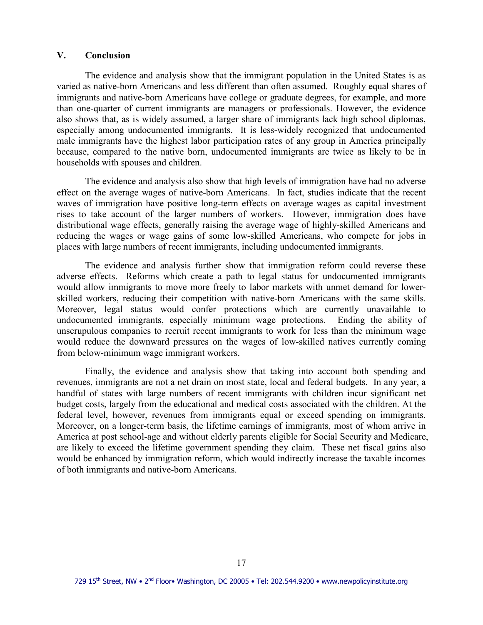#### **V. Conclusion**

The evidence and analysis show that the immigrant population in the United States is as varied as native-born Americans and less different than often assumed. Roughly equal shares of immigrants and native-born Americans have college or graduate degrees, for example, and more than one-quarter of current immigrants are managers or professionals. However, the evidence also shows that, as is widely assumed, a larger share of immigrants lack high school diplomas, especially among undocumented immigrants. It is less-widely recognized that undocumented male immigrants have the highest labor participation rates of any group in America principally because, compared to the native born, undocumented immigrants are twice as likely to be in households with spouses and children.

 The evidence and analysis also show that high levels of immigration have had no adverse effect on the average wages of native-born Americans. In fact, studies indicate that the recent waves of immigration have positive long-term effects on average wages as capital investment rises to take account of the larger numbers of workers. However, immigration does have distributional wage effects, generally raising the average wage of highly-skilled Americans and reducing the wages or wage gains of some low-skilled Americans, who compete for jobs in places with large numbers of recent immigrants, including undocumented immigrants.

 The evidence and analysis further show that immigration reform could reverse these adverse effects. Reforms which create a path to legal status for undocumented immigrants would allow immigrants to move more freely to labor markets with unmet demand for lowerskilled workers, reducing their competition with native-born Americans with the same skills. Moreover, legal status would confer protections which are currently unavailable to undocumented immigrants, especially minimum wage protections. Ending the ability of unscrupulous companies to recruit recent immigrants to work for less than the minimum wage would reduce the downward pressures on the wages of low-skilled natives currently coming from below-minimum wage immigrant workers.

 Finally, the evidence and analysis show that taking into account both spending and revenues, immigrants are not a net drain on most state, local and federal budgets. In any year, a handful of states with large numbers of recent immigrants with children incur significant net budget costs, largely from the educational and medical costs associated with the children. At the federal level, however, revenues from immigrants equal or exceed spending on immigrants. Moreover, on a longer-term basis, the lifetime earnings of immigrants, most of whom arrive in America at post school-age and without elderly parents eligible for Social Security and Medicare, are likely to exceed the lifetime government spending they claim. These net fiscal gains also would be enhanced by immigration reform, which would indirectly increase the taxable incomes of both immigrants and native-born Americans.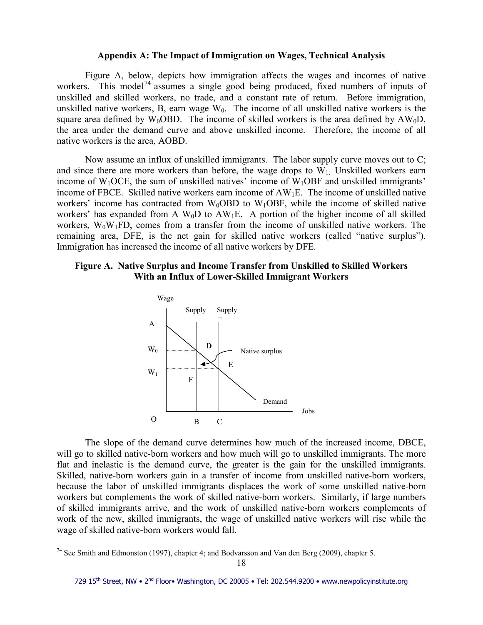#### **Appendix A: The Impact of Immigration on Wages, Technical Analysis**

 Figure A, below, depicts how immigration affects the wages and incomes of native workers. This model<sup>74</sup> assumes a single good being produced, fixed numbers of inputs of unskilled and skilled workers, no trade, and a constant rate of return. Before immigration, unskilled native workers, B, earn wage  $W_0$ . The income of all unskilled native workers is the square area defined by  $W_0OBD$ . The income of skilled workers is the area defined by  $AW_0D$ , the area under the demand curve and above unskilled income. Therefore, the income of all native workers is the area, AOBD.

 Now assume an influx of unskilled immigrants. The labor supply curve moves out to C; and since there are more workers than before, the wage drops to  $W_1$ . Unskilled workers earn income of  $W_1OCE$ , the sum of unskilled natives' income of  $W_1OBF$  and unskilled immigrants' income of FBCE. Skilled native workers earn income of AW1E. The income of unskilled native workers' income has contracted from  $W_0OBD$  to  $W_1OBF$ , while the income of skilled native workers' has expanded from A  $W_0D$  to  $AW_1E$ . A portion of the higher income of all skilled workers,  $W_0W_1FD$ , comes from a transfer from the income of unskilled native workers. The remaining area, DFE, is the net gain for skilled native workers (called "native surplus"). Immigration has increased the income of all native workers by DFE.

# **Figure A. Native Surplus and Income Transfer from Unskilled to Skilled Workers With an Influx of Lower-Skilled Immigrant Workers**



 The slope of the demand curve determines how much of the increased income, DBCE, will go to skilled native-born workers and how much will go to unskilled immigrants. The more flat and inelastic is the demand curve, the greater is the gain for the unskilled immigrants. Skilled, native-born workers gain in a transfer of income from unskilled native-born workers, because the labor of unskilled immigrants displaces the work of some unskilled native-born workers but complements the work of skilled native-born workers. Similarly, if large numbers of skilled immigrants arrive, and the work of unskilled native-born workers complements of work of the new, skilled immigrants, the wage of unskilled native workers will rise while the wage of skilled native-born workers would fall.

<sup>&</sup>lt;sup>74</sup> See Smith and Edmonston (1997), chapter 4; and Bodvarsson and Van den Berg (2009), chapter 5.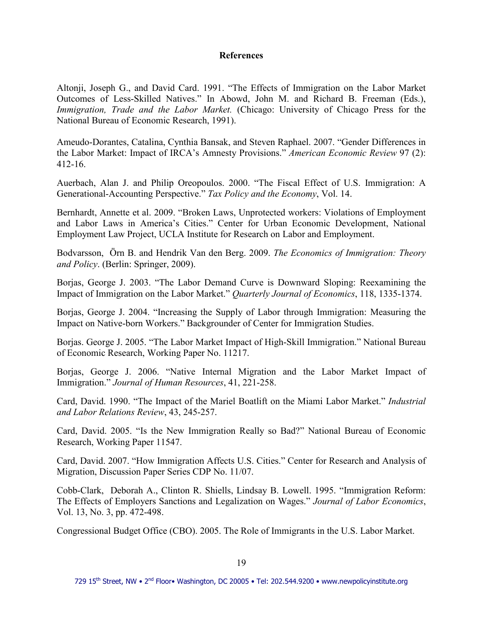### **References**

Altonji, Joseph G., and David Card. 1991. "The Effects of Immigration on the Labor Market Outcomes of Less-Skilled Natives." In Abowd, John M. and Richard B. Freeman (Eds.), *Immigration, Trade and the Labor Market.* (Chicago: University of Chicago Press for the National Bureau of Economic Research, 1991).

Ameudo-Dorantes, Catalina, Cynthia Bansak, and Steven Raphael. 2007. "Gender Differences in the Labor Market: Impact of IRCA's Amnesty Provisions." *American Economic Review* 97 (2): 412-16.

Auerbach, Alan J. and Philip Oreopoulos. 2000. "The Fiscal Effect of U.S. Immigration: A Generational-Accounting Perspective." *Tax Policy and the Economy*, Vol. 14.

Bernhardt, Annette et al. 2009. "Broken Laws, Unprotected workers: Violations of Employment and Labor Laws in America's Cities." Center for Urban Economic Development, National Employment Law Project, UCLA Institute for Research on Labor and Employment.

Bodvarsson, Örn B. and Hendrik Van den Berg. 2009. *The Economics of Immigration: Theory and Policy*. (Berlin: Springer, 2009).

Borjas, George J. 2003. "The Labor Demand Curve is Downward Sloping: Reexamining the Impact of Immigration on the Labor Market." *Quarterly Journal of Economics*, 118, 1335-1374.

Borjas, George J. 2004. "Increasing the Supply of Labor through Immigration: Measuring the Impact on Native-born Workers." Backgrounder of Center for Immigration Studies.

Borjas. George J. 2005. "The Labor Market Impact of High-Skill Immigration." National Bureau of Economic Research, Working Paper No. 11217.

Borjas, George J. 2006. "Native Internal Migration and the Labor Market Impact of Immigration." *Journal of Human Resources*, 41, 221-258.

Card, David. 1990. "The Impact of the Mariel Boatlift on the Miami Labor Market." *Industrial and Labor Relations Review*, 43, 245-257.

Card, David. 2005. "Is the New Immigration Really so Bad?" National Bureau of Economic Research, Working Paper 11547.

Card, David. 2007. "How Immigration Affects U.S. Cities." Center for Research and Analysis of Migration, Discussion Paper Series CDP No. 11/07.

Cobb-Clark, Deborah A., Clinton R. Shiells, Lindsay B. Lowell. 1995. "Immigration Reform: The Effects of Employers Sanctions and Legalization on Wages." *Journal of Labor Economics*, Vol. 13, No. 3, pp. 472-498.

Congressional Budget Office (CBO). 2005. The Role of Immigrants in the U.S. Labor Market.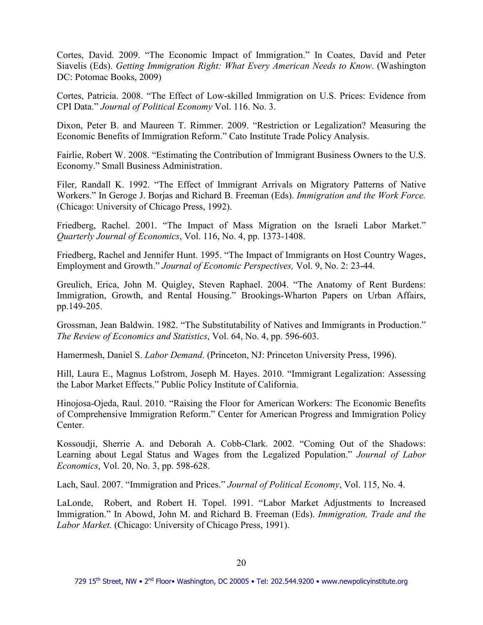Cortes, David. 2009. "The Economic Impact of Immigration." In Coates, David and Peter Siavelis (Eds). *Getting Immigration Right: What Every American Needs to Know*. (Washington DC: Potomac Books, 2009)

Cortes, Patricia. 2008. "The Effect of Low-skilled Immigration on U.S. Prices: Evidence from CPI Data." *Journal of Political Economy* Vol. 116. No. 3.

Dixon, Peter B. and Maureen T. Rimmer. 2009. "Restriction or Legalization? Measuring the Economic Benefits of Immigration Reform." Cato Institute Trade Policy Analysis.

Fairlie, Robert W. 2008. "Estimating the Contribution of Immigrant Business Owners to the U.S. Economy." Small Business Administration.

Filer, Randall K. 1992. "The Effect of Immigrant Arrivals on Migratory Patterns of Native Workers." In Geroge J. Borjas and Richard B. Freeman (Eds). *Immigration and the Work Force.*  (Chicago: University of Chicago Press, 1992).

Friedberg, Rachel. 2001. "The Impact of Mass Migration on the Israeli Labor Market." *Quarterly Journal of Economics*, Vol. 116, No. 4, pp. 1373-1408.

Friedberg, Rachel and Jennifer Hunt. 1995. "The Impact of Immigrants on Host Country Wages, Employment and Growth." *Journal of Economic Perspectives,* Vol. 9, No. 2: 23-44.

Greulich, Erica, John M. Quigley, Steven Raphael. 2004. "The Anatomy of Rent Burdens: Immigration, Growth, and Rental Housing." Brookings-Wharton Papers on Urban Affairs, pp.149-205.

Grossman, Jean Baldwin. 1982. "The Substitutability of Natives and Immigrants in Production." *The Review of Economics and Statistics*, Vol. 64, No. 4, pp. 596-603.

Hamermesh, Daniel S. *Labor Demand*. (Princeton, NJ: Princeton University Press, 1996).

Hill, Laura E., Magnus Lofstrom, Joseph M. Hayes. 2010. "Immigrant Legalization: Assessing the Labor Market Effects." Public Policy Institute of California.

Hinojosa-Ojeda, Raul. 2010. "Raising the Floor for American Workers: The Economic Benefits of Comprehensive Immigration Reform." Center for American Progress and Immigration Policy Center.

Kossoudji, Sherrie A. and Deborah A. Cobb-Clark. 2002. "Coming Out of the Shadows: Learning about Legal Status and Wages from the Legalized Population." *Journal of Labor Economics*, Vol. 20, No. 3, pp. 598-628.

Lach, Saul. 2007. "Immigration and Prices." *Journal of Political Economy*, Vol. 115, No. 4.

LaLonde, Robert, and Robert H. Topel. 1991. "Labor Market Adjustments to Increased Immigration." In Abowd, John M. and Richard B. Freeman (Eds). *Immigration, Trade and the Labor Market.* (Chicago: University of Chicago Press, 1991).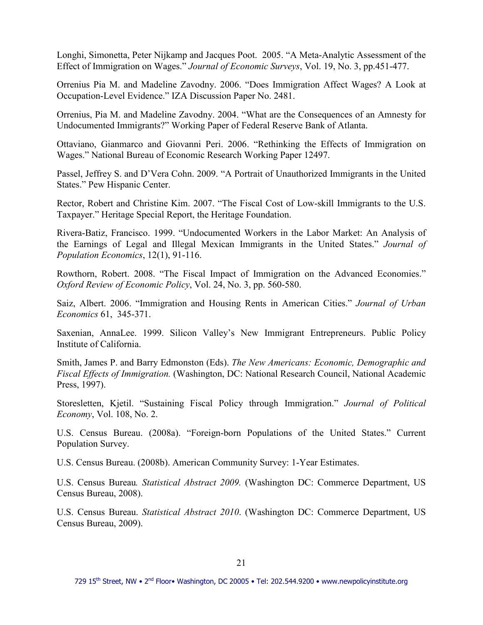Longhi, Simonetta, Peter Nijkamp and Jacques Poot. 2005. "A Meta-Analytic Assessment of the Effect of Immigration on Wages." *Journal of Economic Surveys*, Vol. 19, No. 3, pp.451-477.

Orrenius Pia M. and Madeline Zavodny. 2006. "Does Immigration Affect Wages? A Look at Occupation-Level Evidence." IZA Discussion Paper No. 2481.

Orrenius, Pia M. and Madeline Zavodny. 2004. "What are the Consequences of an Amnesty for Undocumented Immigrants?" Working Paper of Federal Reserve Bank of Atlanta.

Ottaviano, Gianmarco and Giovanni Peri. 2006. "Rethinking the Effects of Immigration on Wages." National Bureau of Economic Research Working Paper 12497.

Passel, Jeffrey S. and D'Vera Cohn. 2009. "A Portrait of Unauthorized Immigrants in the United States." Pew Hispanic Center.

Rector, Robert and Christine Kim. 2007. "The Fiscal Cost of Low-skill Immigrants to the U.S. Taxpayer." Heritage Special Report, the Heritage Foundation.

Rivera-Batiz, Francisco. 1999. "Undocumented Workers in the Labor Market: An Analysis of the Earnings of Legal and Illegal Mexican Immigrants in the United States." *Journal of Population Economics*, 12(1), 91-116.

Rowthorn, Robert. 2008. "The Fiscal Impact of Immigration on the Advanced Economies." *Oxford Review of Economic Policy*, Vol. 24, No. 3, pp. 560-580.

Saiz, Albert. 2006. "Immigration and Housing Rents in American Cities." *Journal of Urban Economics* 61, 345-371.

Saxenian, AnnaLee. 1999. Silicon Valley's New Immigrant Entrepreneurs. Public Policy Institute of California.

Smith, James P. and Barry Edmonston (Eds). *The New Americans: Economic, Demographic and Fiscal Effects of Immigration.* (Washington, DC: National Research Council, National Academic Press, 1997).

Storesletten, Kjetil. "Sustaining Fiscal Policy through Immigration." *Journal of Political Economy*, Vol. 108, No. 2.

U.S. Census Bureau. (2008a). "Foreign-born Populations of the United States." Current Population Survey.

U.S. Census Bureau. (2008b). American Community Survey: 1-Year Estimates.

U.S. Census Bureau*. Statistical Abstract 2009.* (Washington DC: Commerce Department, US Census Bureau, 2008).

U.S. Census Bureau. *Statistical Abstract 2010*. (Washington DC: Commerce Department, US Census Bureau, 2009).